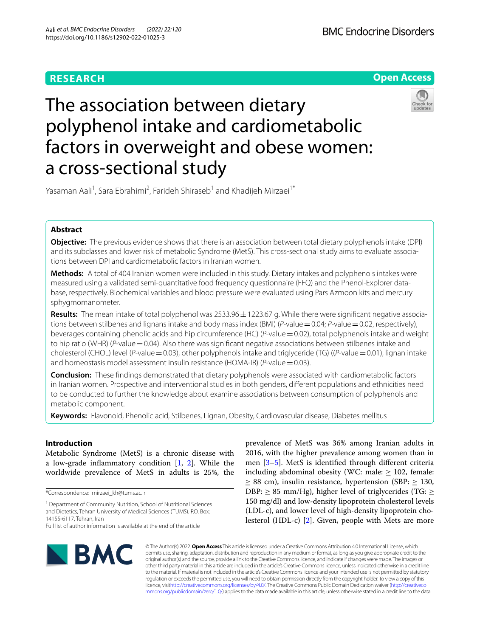### **RESEARCH**



# The association between dietary polyphenol intake and cardiometabolic factors in overweight and obese women: a cross-sectional study



Yasaman Aali<sup>1</sup>, Sara Ebrahimi<sup>2</sup>, Farideh Shiraseb<sup>1</sup> and Khadijeh Mirzaei<sup>1\*</sup>

### **Abstract**

**Objective:** The previous evidence shows that there is an association between total dietary polyphenols intake (DPI) and its subclasses and lower risk of metabolic Syndrome (MetS). This cross-sectional study aims to evaluate associations between DPI and cardiometabolic factors in Iranian women.

**Methods:** A total of 404 Iranian women were included in this study. Dietary intakes and polyphenols intakes were measured using a validated semi-quantitative food frequency questionnaire (FFQ) and the Phenol-Explorer database, respectively. Biochemical variables and blood pressure were evaluated using Pars Azmoon kits and mercury sphygmomanometer.

**Results:** The mean intake of total polyphenol was 2533.96±1223.67 g. While there were signifcant negative associations between stilbenes and lignans intake and body mass index (BMI) (*P*-value = 0.04; *P*-value = 0.02, respectively), beverages containing phenolic acids and hip circumference (HC) (*P*-value=0.02), total polyphenols intake and weight to hip ratio (WHR) (*P*-value = 0.04). Also there was significant negative associations between stilbenes intake and cholesterol (CHOL) level (*P*-value=0.03), other polyphenols intake and triglyceride (TG) ((*P*-value=0.01), lignan intake and homeostasis model assessment insulin resistance (HOMA-IR) (*P*-value=0.03).

**Conclusion:** These fndings demonstrated that dietary polyphenols were associated with cardiometabolic factors in Iranian women. Prospective and interventional studies in both genders, diferent populations and ethnicities need to be conducted to further the knowledge about examine associations between consumption of polyphenols and metabolic component.

**Keywords:** Flavonoid, Phenolic acid, Stilbenes, Lignan, Obesity, Cardiovascular disease, Diabetes mellitus

### **Introduction**

Metabolic Syndrome (MetS) is a chronic disease with a low-grade infammatory condition [\[1](#page-7-0), [2](#page-7-1)]. While the worldwide prevalence of MetS in adults is 25%, the

\*Correspondence: mirzaei\_kh@tums.ac.ir

<sup>1</sup> Department of Community Nutrition, School of Nutritional Sciences and Dietetics, Tehran University of Medical Sciences (TUMS), P.O. Box: 14155-6117, Tehran, Iran

Full list of author information is available at the end of the article



prevalence of MetS was 36% among Iranian adults in 2016, with the higher prevalence among women than in men [[3–](#page-7-2)[5\]](#page-7-3). MetS is identifed through diferent criteria including abdominal obesity (WC: male:  $\geq$  102, female: ≥ 88 cm), insulin resistance, hypertension (SBP: ≥ 130, DBP:  $\geq$  85 mm/Hg), higher level of triglycerides (TG:  $\geq$ 150 mg/dl) and low-density lipoprotein cholesterol levels (LDL-c), and lower level of high-density lipoprotein cholesterol (HDL-c) [[2](#page-7-1)]. Given, people with Mets are more

© The Author(s) 2022. **Open Access** This article is licensed under a Creative Commons Attribution 4.0 International License, which permits use, sharing, adaptation, distribution and reproduction in any medium or format, as long as you give appropriate credit to the original author(s) and the source, provide a link to the Creative Commons licence, and indicate if changes were made. The images or other third party material in this article are included in the article's Creative Commons licence, unless indicated otherwise in a credit line to the material. If material is not included in the article's Creative Commons licence and your intended use is not permitted by statutory regulation or exceeds the permitted use, you will need to obtain permission directly from the copyright holder. To view a copy of this licence, visi[thttp://creativecommons.org/licenses/by/4.0/](http://creativecommons.org/licenses/by/4.0/). The Creative Commons Public Domain Dedication waiver [\(http://creativeco](http://creativecommons.org/publicdomain/zero/1.0/) [mmons.org/publicdomain/zero/1.0/](http://creativecommons.org/publicdomain/zero/1.0/)) applies to the data made available in this article, unless otherwise stated in a credit line to the data.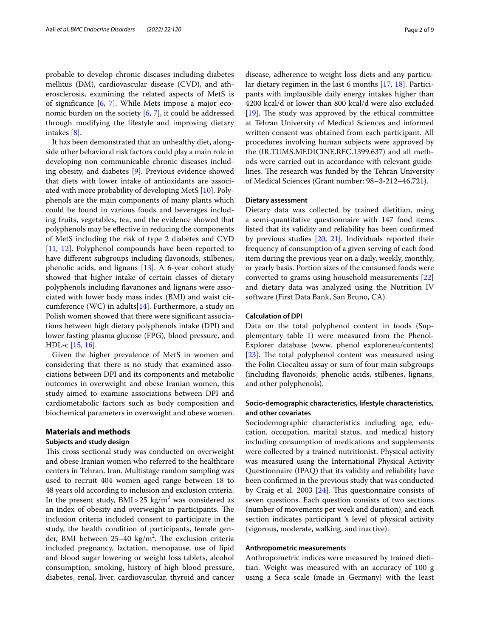probable to develop chronic diseases including diabetes mellitus (DM), cardiovascular disease (CVD), and atherosclerosis, examining the related aspects of MetS is of signifcance [[6,](#page-7-4) [7\]](#page-7-5). While Mets impose a major economic burden on the society [[6,](#page-7-4) [7](#page-7-5)], it could be addressed through modifying the lifestyle and improving dietary intakes [\[8](#page-7-6)].

It has been demonstrated that an unhealthy diet, alongside other behavioral risk factors could play a main role in developing non communicable chronic diseases including obesity, and diabetes [[9\]](#page-7-7). Previous evidence showed that diets with lower intake of antioxidants are associated with more probability of developing MetS [[10\]](#page-7-8). Polyphenols are the main components of many plants which could be found in various foods and beverages including fruits, vegetables, tea, and the evidence showed that polyphenols may be efective in reducing the components of MetS including the risk of type 2 diabetes and CVD [[11,](#page-7-9) [12\]](#page-7-10). Polyphenol compounds have been reported to have diferent subgroups including favonoids, stilbenes, phenolic acids, and lignans [[13\]](#page-7-11). A 6-year cohort study showed that higher intake of certain classes of dietary polyphenols including favanones and lignans were associated with lower body mass index (BMI) and waist circumference (WC) in adults $[14]$  $[14]$ . Furthermore, a study on Polish women showed that there were signifcant associations between high dietary polyphenols intake (DPI) and lower fasting plasma glucose (FPG), blood pressure, and HDL-c [[15](#page-7-13), [16\]](#page-7-14).

Given the higher prevalence of MetS in women and considering that there is no study that examined associations between DPI and its components and metabolic outcomes in overweight and obese Iranian women, this study aimed to examine associations between DPI and cardiometabolic factors such as body composition and biochemical parameters in overweight and obese women.

#### **Materials and methods**

#### **Subjects and study design**

This cross sectional study was conducted on overweight and obese Iranian women who referred to the healthcare centers in Tehran, Iran. Multistage random sampling was used to recruit 404 women aged range between 18 to 48 years old according to inclusion and exclusion criteria. In the present study,  $BMI > 25 \text{ kg/m}^2$  was considered as an index of obesity and overweight in participants. The inclusion criteria included consent to participate in the study, the health condition of participants, female gender, BMI between 25–40 kg/m<sup>2</sup>. The exclusion criteria included pregnancy, lactation, menopause, use of lipid and blood sugar lowering or weight loss tablets, alcohol consumption, smoking, history of high blood pressure, diabetes, renal, liver, cardiovascular, thyroid and cancer

disease, adherence to weight loss diets and any particular dietary regimen in the last 6 months [\[17](#page-7-15), [18\]](#page-7-16). Participants with implausible daily energy intakes higher than 4200 kcal/d or lower than 800 kcal/d were also excluded  $[19]$  $[19]$ . The study was approved by the ethical committee at Tehran University of Medical Sciences and informed written consent was obtained from each participant. All procedures involving human subjects were approved by the (IR.TUMS.MEDICINE.REC.1399.637) and all methods were carried out in accordance with relevant guidelines. The research was funded by the Tehran University of Medical Sciences (Grant number: 98–3-212–46,721).

### **Dietary assessment**

Dietary data was collected by trained dietitian, using a semi-quantitative questionnaire with 147 food items listed that its validity and reliability has been confrmed by previous studies [[20,](#page-7-18) [21](#page-8-0)]. Individuals reported their frequency of consumption of a given serving of each food item during the previous year on a daily, weekly, monthly, or yearly basis. Portion sizes of the consumed foods were converted to grams using household measurements [[22](#page-8-1)] and dietary data was analyzed using the Nutrition IV software (First Data Bank, San Bruno, CA).

### **Calculation of DPI**

Data on the total polyphenol content in foods (Supplementary table [1](#page-7-19)) were measured from the Phenol-Explorer database (www. phenol explorer.eu/contents) [[23\]](#page-8-2). The total polyphenol content was measured using the Folin Ciocalteu assay or sum of four main subgroups (including favonoids, phenolic acids, stilbenes, lignans, and other polyphenols).

### **Socio‑demographic characteristics, lifestyle characteristics, and other covariates**

Sociodemographic characteristics including age, education, occupation, marital status, and medical history including consumption of medications and supplements were collected by a trained nutritionist. Physical activity was measured using the International Physical Activity Questionnaire (IPAQ) that its validity and reliability have been confrmed in the previous study that was conducted by Craig et al. 2003  $[24]$  $[24]$ . This questionnaire consists of seven questions. Each question consists of two sections (number of movements per week and duration), and each section indicates participant 's level of physical activity (vigorous, moderate, walking, and inactive).

### **Anthropometric measurements**

Anthropometric indices were measured by trained dietitian. Weight was measured with an accuracy of 100 g using a Seca scale (made in Germany) with the least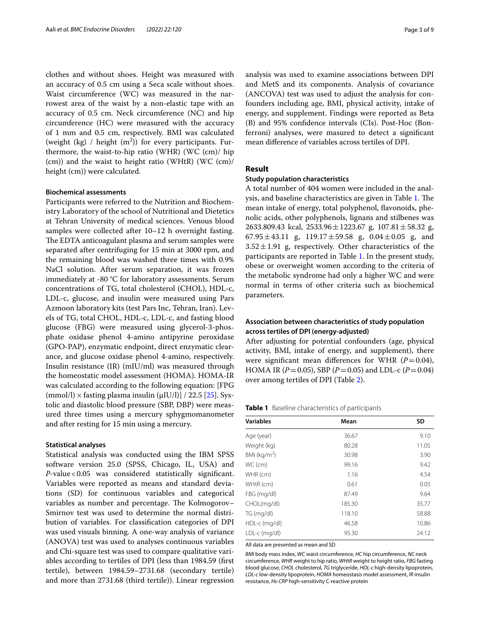clothes and without shoes. Height was measured with an accuracy of 0.5 cm using a Seca scale without shoes. Waist circumference (WC) was measured in the narrowest area of the waist by a non-elastic tape with an accuracy of 0.5 cm. Neck circumference (NC) and hip circumference (HC) were measured with the accuracy of 1 mm and 0.5 cm, respectively. BMI was calculated (weight (kg) / height  $(m^2)$ ) for every participants. Furthermore, the waist-to-hip ratio (WHR) (WC (cm)/ hip (cm)) and the waist to height ratio (WHtR) (WC (cm)/ height (cm)) were calculated.

### **Biochemical assessments**

Participants were referred to the Nutrition and Biochemistry Laboratory of the school of Nutritional and Dietetics at Tehran University of medical sciences. Venous blood samples were collected after 10–12 h overnight fasting. The EDTA anticoagulant plasma and serum samples were separated after centrifuging for 15 min at 3000 rpm, and the remaining blood was washed three times with 0.9% NaCl solution. After serum separation, it was frozen immediately at -80 °C for laboratory assessments. Serum concentrations of TG, total cholesterol (CHOL), HDL-c, LDL-c, glucose, and insulin were measured using Pars Azmoon laboratory kits (test Pars Inc, Tehran, Iran). Levels of TG, total CHOL, HDL-c, LDL-c, and fasting blood glucose (FBG) were measured using glycerol-3-phosphate oxidase phenol 4-amino antipyrine peroxidase (GPO-PAP), enzymatic endpoint, direct enzymatic clearance, and glucose oxidase phenol 4-amino, respectively. Insulin resistance (IR) (mIU/ml) was measured through the homeostatic model assessment (HOMA). HOMA-IR was calculated according to the following equation: [FPG (mmol/l)  $\times$  fasting plasma insulin ( $\mu$ IU/l)] / 22.5 [\[25](#page-8-4)]. Systolic and diastolic blood pressure (SBP, DBP) were measured three times using a mercury sphygmomanometer and after resting for 15 min using a mercury.

#### **Statistical analyses**

Statistical analysis was conducted using the IBM SPSS software version 25.0 (SPSS, Chicago, IL, USA) and *P*-value<0.05 was considered statistically signifcant. Variables were reported as means and standard deviations (SD) for continuous variables and categorical variables as number and percentage. The Kolmogorov– Smirnov test was used to determine the normal distribution of variables. For classifcation categories of DPI was used visuals binning. A one-way analysis of variance (ANOVA) test was used to analyses continuous variables and Chi-square test was used to compare qualitative variables according to tertiles of DPI (less than 1984.59 (frst tertile), between 1984.59–2731.68 (secondary tertile) and more than 2731.68 (third tertile)). Linear regression analysis was used to examine associations between DPI and MetS and its components. Analysis of covariance (ANCOVA) test was used to adjust the analysis for confounders including age, BMI, physical activity, intake of energy, and supplement. Findings were reported as Beta (B) and 95% confdence intervals (CIs). Post-Hoc (Bonferroni) analyses, were masured to detect a signifcant mean diference of variables across tertiles of DPI.

### **Result**

### **Study population characteristics**

A total number of 404 women were included in the anal-ysis, and baseline characteristics are given in Table [1.](#page-2-0) The mean intake of energy, total polyphenol, favonoids, phenolic acids, other polyphenols, lignans and stilbenes was 2633.809.43 kcal,  $2533.96 \pm 1223.67$  g,  $107.81 \pm 58.32$  g,  $67.95 \pm 43.11$  g,  $119.17 \pm 59.58$  g,  $0.04 \pm 0.05$  g, and  $3.52 \pm 1.91$  g, respectively. Other characteristics of the participants are reported in Table [1](#page-2-0). In the present study, obese or overweight women according to the criteria of the metabolic syndrome had only a higher WC and were normal in terms of other criteria such as biochemical parameters.

### **Association between characteristics of study population across tertiles of DPI (energy‑adjusted)**

After adjusting for potential confounders (age, physical activity, BMI, intake of energy, and supplement), there were significant mean differences for WHR  $(P=0.04)$ , HOMA IR ( $P = 0.05$ ), SBP ( $P = 0.05$ ) and LDL-c ( $P = 0.04$ ) over among tertiles of DPI (Table [2](#page-3-0)).

<span id="page-2-0"></span>**Table 1** Baseline characteristics of participants

| <b>Variables</b> | Mean   | <b>SD</b> |
|------------------|--------|-----------|
| Age (year)       | 36.67  | 9.10      |
| Weight (kg)      | 80.28  | 11.05     |
| BMI ( $kg/m2$ )  | 30.98  | 3.90      |
| WC (cm)          | 99.16  | 9.42      |
| WHR (cm)         | 1.16   | 4.54      |
| WHtR (cm)        | 0.61   | 0.05      |
| FBG (mg/dl)      | 87.49  | 9.64      |
| CHOL(mg/dl)      | 185.30 | 35.77     |
| TG (mg/dl)       | 118.10 | 58.88     |
| HDL-c (mg/dl)    | 46.58  | 10.86     |
| LDL-c (mg/dl)    | 95.30  | 24.12     |

All data are presented as mean and SD

*BMI* body mass index, *WC* waist circumference, *HC* hip circumference, *NC* neck circumference, *WHR* weight to hip ratio, *WHtR* weight to height ratio, *FBG* fasting blood glucose, *CHOL* cholesterol, *TG* triglyceride, *HDL-c* high-density lipoprotein, *LDL-c* low-density lipoprotein, *HOMA* homeostasis model assessment, *IR* insulin resistance, *Hs-CRP* high-sensitivity C-reactive protein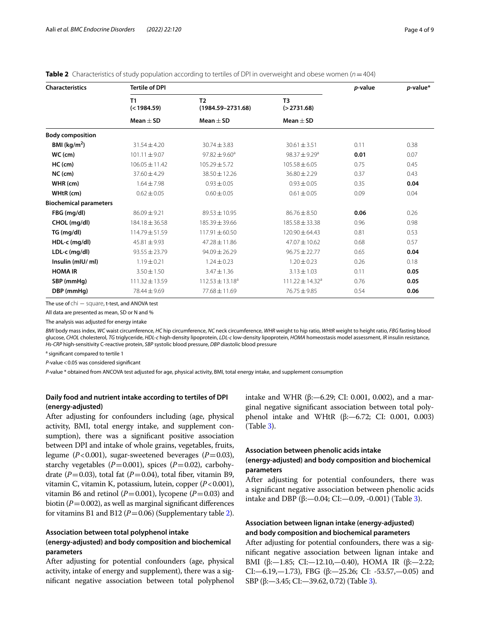| <b>Characteristics</b>        | <b>Tertile of DPI</b> | <i>p</i> -value                         | p-value*                       |      |      |  |
|-------------------------------|-----------------------|-----------------------------------------|--------------------------------|------|------|--|
|                               | T1<br>(< 1984.59)     | T <sub>2</sub><br>$(1984.59 - 2731.68)$ | T <sub>3</sub><br>( > 2731.68) |      |      |  |
|                               | $Mean + SD$           | Mean $\pm$ SD                           | Mean $\pm$ SD                  |      |      |  |
| <b>Body composition</b>       |                       |                                         |                                |      |      |  |
| BMI ( $kg/m2$ )               | $31.54 \pm 4.20$      | $30.74 \pm 3.83$                        | $30.61 \pm 3.51$               | 0.11 | 0.38 |  |
| $WC$ (cm)                     | $101.11 \pm 9.07$     | $97.82 \pm 9.60^a$                      | 98.37 $\pm$ 9.29 <sup>a</sup>  | 0.01 | 0.07 |  |
| $HC$ (cm)                     | $106.05 \pm 11.42$    | $105.29 \pm 5.72$                       | $105.58 \pm 6.05$              | 0.75 | 0.45 |  |
| $NC$ (cm)                     | $37.60 \pm 4.29$      | 38.50 ± 12.26                           | $36.80 \pm 2.29$               | 0.37 | 0.43 |  |
| WHR (cm)                      | $1.64 \pm 7.98$       | $0.93 \pm 0.05$                         | $0.93 \pm 0.05$                | 0.35 | 0.04 |  |
| WHtR (cm)                     | $0.62 \pm 0.05$       | $0.60 \pm 0.05$                         | $0.61 \pm 0.05$                | 0.09 | 0.04 |  |
| <b>Biochemical parameters</b> |                       |                                         |                                |      |      |  |
| FBG (mg/dl)                   | $86.09 \pm 9.21$      | $89.53 \pm 10.95$                       | $86.76 \pm 8.50$               | 0.06 | 0.26 |  |
| CHOL (mg/dl)                  | 184.18 ± 36.58        | 185.39 ± 39.66                          | $185.58 \pm 33.38$             | 0.96 | 0.98 |  |
| TG (mg/dl)                    | $114.79 \pm 51.59$    | $117.91 \pm 60.50$                      | $120.90 \pm 64.43$             | 0.81 | 0.53 |  |
| HDL-c (mg/dl)                 | $45.81 \pm 9.93$      | $47.28 \pm 11.86$                       | 47.07 ± 10.62                  | 0.68 | 0.57 |  |
| LDL-c (mg/dl)                 | $93.55 \pm 23.79$     | $94.09 \pm 26.29$                       | $96.75 \pm 22.77$              | 0.65 | 0.04 |  |
| Insulin (mIU/ml)              | $1.19 \pm 0.21$       | $1.24 \pm 0.23$                         | $1.20 \pm 0.23$                | 0.26 | 0.18 |  |
| <b>HOMA IR</b>                | $3.50 \pm 1.50$       | $3.47 \pm 1.36$                         | $3.13 \pm 1.03$                | 0.11 | 0.05 |  |
| SBP (mmHg)                    | $111.32 \pm 13.59$    | $112.53 \pm 13.18^a$                    | $111.22 \pm 14.32^a$           | 0.76 | 0.05 |  |
| DBP (mmHg)                    | 78.44 ± 9.69          | 77.68 ± 11.69                           | 76.75 ± 9.85                   | 0.54 | 0.06 |  |

<span id="page-3-0"></span>**Table 2** Characteristics of study population according to tertiles of DPI in overweight and obese women (*n*=404)

The use of chi − square, t-test, and ANOVA test

All data are presented as mean, SD or N and %

The analysis was adjusted for energy intake

*BMI* body mass index, *WC* waist circumference, *HC* hip circumference, *NC* neck circumference, *WHR* weight to hip ratio, *WHtR* weight to height ratio, *FBG* fasting blood glucose, *CHOL* cholesterol, *TG* triglyceride, *HDL-c* high-density lipoprotein, *LDL-c* low-density lipoprotein, *HOMA* homeostasis model assessment, *IR* insulin resistance, *Hs-CRP* high-sensitivity C-reactive protein, *SBP* systolic blood pressure, *DBP* diastolic blood pressure

<sup>a</sup> significant compared to tertile 1

*P*-value<0.05 was considered signifcant

*P*-value \* obtained from ANCOVA test adjusted for age, physical activity, BMI, total energy intake, and supplement consumption

### **Daily food and nutrient intake according to tertiles of DPI (energy‑adjusted)**

After adjusting for confounders including (age, physical activity, BMI, total energy intake, and supplement consumption), there was a signifcant positive association between DPI and intake of whole grains, vegetables, fruits, legume  $(P<0.001)$ , sugar-sweetened beverages  $(P=0.03)$ , starchy vegetables  $(P=0.001)$ , spices  $(P=0.02)$ , carbohydrate ( $P=0.03$ ), total fat ( $P=0.04$ ), total fiber, vitamin B9, vitamin C, vitamin K, potassium, lutein, copper (*P*<0.001), vitamin B6 and retinol ( $P=0.001$ ), lycopene ( $P=0.03$ ) and biotin  $(P=0.002)$ , as well as marginal significant differences for vitamins B1 and B12 ( $P=0.06$ ) (Supplementary table [2](#page-7-19)).

### **Association between total polyphenol intake**

### **(energy‑adjusted) and body composition and biochemical parameters**

After adjusting for potential confounders (age, physical activity, intake of energy and supplement), there was a signifcant negative association between total polyphenol intake and WHR (β: -6.29; CI: 0.001, 0.002), and a marginal negative signifcant association between total polyphenol intake and WHtR (β:—6.72; CI: 0.001, 0.003) (Table [3](#page-4-0)).

### **Association between phenolic acids intake (energy‑adjusted) and body composition and biochemical parameters**

After adjusting for potential confounders, there was a signifcant negative association between phenolic acids intake and DBP (β: -0.04; CI: -0.09, -0.001) (Table [3\)](#page-4-0).

### **Association between lignan intake (energy‑adjusted) and body composition and biochemical parameters**

After adjusting for potential confounders, there was a signifcant negative association between lignan intake and BMI (β:—1.85; CI:—12.10,—0.40), HOMA IR (β:—2.22; CI:-6.19,-1.73), FBG (β:-25.26; CI: -53.57,-0.05) and SBP (β:—3.45; CI:—39.62, 0.72) (Table [3\)](#page-4-0).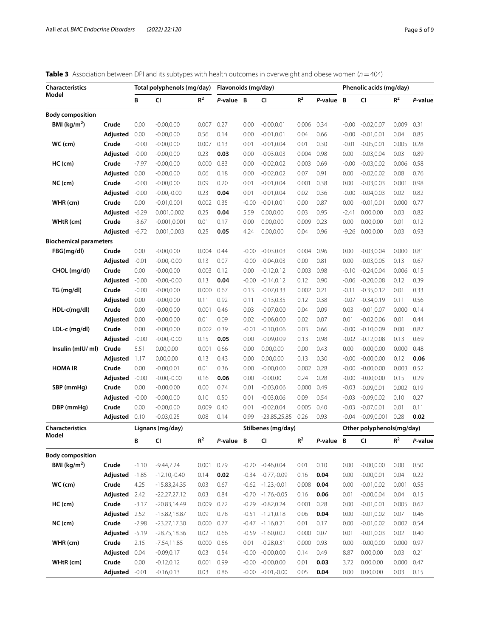<span id="page-4-0"></span>

| <b>Table 3</b> Association between DPI and its subtypes with health outcomes in overweight and obese women ( $n = 404$ ) |  |
|--------------------------------------------------------------------------------------------------------------------------|--|
|--------------------------------------------------------------------------------------------------------------------------|--|

| <b>Characteristics</b>        |                | Total polyphenols (mg/day) |                  |                | Flavonoids (mg/day) |         |                     |                |         | Phenolic acids (mg/day) |                           |       |         |
|-------------------------------|----------------|----------------------------|------------------|----------------|---------------------|---------|---------------------|----------------|---------|-------------------------|---------------------------|-------|---------|
| Model                         |                | В                          | CI               | R <sup>2</sup> | P-value B           |         | CI                  | $R^2$          | P-value | B                       | CI                        | $R^2$ | P-value |
| <b>Body composition</b>       |                |                            |                  |                |                     |         |                     |                |         |                         |                           |       |         |
| BMI ( $\text{kg/m}^2$ )       | Crude          | 0.00                       | $-0.00, 0.00$    | 0.007          | 0.27                | 0.00    | $-0.00, 0.01$       | 0.006          | 0.34    | $-0.00$                 | $-0.02, 0.07$             | 0.009 | 0.31    |
|                               | Adjusted       | 0.00                       | $-0.00, 0.00$    | 0.56           | 0.14                | 0.00    | $-0.01, 0.01$       | 0.04           | 0.66    | $-0.00$                 | $-0.01, 0.01$             | 0.04  | 0.85    |
| WC (cm)                       | Crude          | $-0.00$                    | $-0.00, 0.00$    | 0.007          | 0.13                | 0.01    | $-0.01, 0.04$       | 0.01           | 0.30    | $-0.01$                 | $-0.05, 0.01$             | 0.005 | 0.28    |
|                               | Adjusted       | $-0.00$                    | $-0.00, 0.00$    | 0.23           | 0.03                | 0.00    | $-0.03.0.03$        | 0.004          | 0.98    | 0.00                    | $-0.03, 0.04$             | 0.03  | 0.89    |
| $HC$ (cm)                     | Crude          | $-7.97$                    | $-0.00, 0.00$    | 0.000          | 0.83                | 0.00    | $-0.02, 0.02$       | 0.003          | 0.69    | $-0.00$                 | $-0.03, 0.02$             | 0.006 | 0.58    |
|                               | Adjusted       | 0.00                       | $-0.00, 0.00$    | 0.06           | 0.18                | 0.00    | $-0.02, 0.02$       | 0.07           | 0.91    | 0.00                    | $-0.02, 0.02$             | 0.08  | 0.76    |
| $NC$ (cm)                     | Crude          | $-0.00$                    | $-0.00, 0.00$    | 0.09           | 0.20                | 0.01    | $-0.01, 0.04$       | 0.001          | 0.38    | 0.00                    | $-0.03,0.03$              | 0.001 | 0.98    |
|                               | Adjusted       | $-0.00$                    | $-0.00,-0.00$    | 0.23           | 0.04                | 0.01    | $-0.01, 0.04$       | 0.02           | 0.36    | $-0.00$                 | $-0.04, 0.03$             | 0.02  | 0.82    |
| WHR (cm)                      | Crude          | 0.00                       | $-0.01, 0.001$   | 0.002          | 0.35                | $-0.00$ | $-0.01, 0.01$       | 0.00           | 0.87    | 0.00                    | $-0.01, 0.01$             | 0.000 | 0.77    |
|                               | Adjusted       | $-6.29$                    | 0.001,0.002      | 0.25           | 0.04                | 5.59    | 0.00, 0.00          | 0.03           | 0.95    | $-2.41$                 | 0.00, 0.00                | 0.03  | 0.82    |
| WHtR (cm)                     | Crude          | $-3.67$                    | $-0.001, 0.001$  | 0.01           | 0.17                | 0.00    | 0.00, 0.00          | 0.009          | 0.23    | 0.00                    | 0.00, 0.00                | 0.01  | 0.12    |
|                               | Adjusted       | $-6.72$                    | 0.001,0.003      | 0.25           | 0.05                | 4.24    | 0.00, 0.00          | 0.04           | 0.96    | $-9.26$                 | 0.00, 0.00                | 0.03  | 0.93    |
| <b>Biochemical parameters</b> |                |                            |                  |                |                     |         |                     |                |         |                         |                           |       |         |
| FBG(mg/dl)                    | Crude          | 0.00                       | $-0.00, 0.00$    | 0.004          | 0.44                | $-0.00$ | $-0.03.0.03$        | 0.004          | 0.96    | 0.00                    | $-0.03.0.04$              | 0.000 | 0.81    |
|                               | Adjusted       | $-0.01$                    | $-0.00,-0.00$    | 0.13           | 0.07                | $-0.00$ | $-0.04, 0.03$       | 0.00           | 0.81    | 0.00                    | $-0.03, 0.05$             | 0.13  | 0.67    |
| CHOL (mg/dl)                  | Crude          | 0.00                       | $-0.00, 0.00$    | 0.003          | 0.12                | 0.00    | $-0.12, 0.12$       | 0.003          | 0.98    | $-0.10$                 | $-0.24, 0.04$             | 0.006 | 0.15    |
|                               | Adjusted       | $-0.00$                    | $-0.00,-0.00$    | 0.13           | 0.04                | $-0.00$ | $-0.14, 0.12$       | 0.12           | 0.90    | $-0.06$                 | $-0.20, 0.08$             | 0.12  | 0.39    |
| TG (mg/dl)                    | Crude          | $-0.00$                    | $-0.00, 0.00$    | 0.000          | 0.67                | 0.13    | $-0.07, 0.33$       | 0.002          | 0.21    | $-0.11$                 | $-0.35, 0.12$             | 0.01  | 0.33    |
|                               | Adjusted       | 0.00                       | $-0.00, 0.00$    | 0.11           | 0.92                | 0.11    | $-0.13, 0.35$       | 0.12           | 0.38    | $-0.07$                 | $-0.34, 0.19$             | 0.11  | 0.56    |
| $HDL-c(mq/dl)$                | Crude          | 0.00                       | $-0.00, 0.00$    | 0.001          | 0.46                | 0.03    | $-0.07,0.00$        | 0.04           | 0.09    | 0.03                    | $-0.01, 0.07$             | 0.000 | 0.14    |
|                               | Adjusted       | 0.00                       | $-0.00, 0.00$    | 0.01           | 0.09                | 0.02    | $-0.06, 0.00$       | 0.02           | 0.07    | 0.01                    | $-0.02, 0.06$             | 0.01  | 0.44    |
| LDL-c (mg/dl)                 | Crude          | 0.00                       | $-0.00, 0.00$    | 0.002          | 0.39                | $-0.01$ | $-0.10,0.06$        | 0.03           | 0.66    | $-0.00$                 | $-0.10, 0.09$             | 0.00  | 0.87    |
|                               | Adjusted       | $-0.00$                    | $-0.00,-0.00$    | 0.15           | 0.05                | 0.00    | $-0.09, 0.09$       | 0.13           | 0.98    | $-0.02$                 | $-0.12,0.08$              | 0.13  | 0.69    |
| Insulin (mIU/ ml)             | Crude          | 5.51                       | 0.00, 0.00       | 0.001          | 0.66                | 0.00    | 0.00, 0.00          | 0.00           | 0.43    | 0.00                    | $-0.00, 0.00$             | 0.000 | 0.48    |
|                               | Adjusted       | 1.17                       | 0.00, 0.00       | 0.13           | 0.43                | 0.00    | 0.00, 0.00          | 0.13           | 0.30    | $-0.00$                 | $-0.00, 0.00$             | 0.12  | 0.06    |
| <b>HOMA IR</b>                | Crude          | 0.00                       | $-0.00, 0.01$    | 0.01           | 0.36                | 0.00    | $-0.00, 0.00$       | 0.002          | 0.28    | $-0.00$                 | $-0.00, 0.00$             | 0.003 | 0.52    |
|                               | Adjusted       | $-0.00$                    | $-0.00,-0.00$    | 0.16           | 0.06                | 0.00    | $-0.00.00$          | 0.24           | 0.28    | $-0.00$                 | $-0.00, 0.00$             | 0.15  | 0.29    |
| SBP (mmHg)                    | Crude          | 0.00                       | $-0.00, 0.00$    | 0.00           | 0.74                | 0.01    | $-0.03, 0.06$       | 0.000          | 0.49    | $-0.03$                 | $-0.09, 0.01$             | 0.002 | 0.19    |
|                               | Adjusted       | $-0.00$                    | $-0.00, 0.00$    | 0.10           | 0.50                | 0.01    | $-0.03, 0.06$       | 0.09           | 0.54    | $-0.03$                 | $-0.09, 0.02$             | 0.10  | 0.27    |
| DBP (mmHg)                    | Crude          | 0.00                       | $-0.00, 0.00$    | 0.009          | 0.40                | 0.01    | $-0.02, 0.04$       | 0.005          | 0.40    | $-0.03$                 | $-0.07, 0.01$             | 0.01  | 0.11    |
|                               | Adjusted       | 0.10                       | $-0.03, 0.25$    | 0.08           | 0.14                | 0.99    | $-23.85, 25.85$     | 0.26           | 0.93    | $-0.04$                 | $-0.09, 0.001$            | 0.28  | 0.02    |
| <b>Characteristics</b>        |                |                            | Lignans (mg/day) |                |                     |         | Stilbenes (mg/day)  |                |         |                         | Other polyphenols(mg/day) |       |         |
| Model                         |                | В                          | CI               | $R^2$          | P-value             | B       | CI                  | R <sup>2</sup> | P-value | B                       | CI                        | $R^2$ | P-value |
| <b>Body composition</b>       |                |                            |                  |                |                     |         |                     |                |         |                         |                           |       |         |
| BMI ( $kg/m2$ )               | Crude          | $-1.10$                    | $-9.44, 7.24$    | 0.001          | 0.79                |         | $-0.20 -0.46,0.04$  | 0.01           | 0.10    | 0.00                    | $-0.00, 0.00$             | 0.00  | 0.50    |
|                               | Adjusted       | $-1.85$                    | $-12.10,-0.40$   | 0.14           | 0.02                | $-0.34$ | $-0.77,-0.09$       | 0.16           | 0.04    | 0.00                    | $-0.00, 0.01$             | 0.04  | 0.22    |
| WC (cm)                       | Crude          | 4.25                       | $-15.83,24.35$   | 0.03           | 0.67                | $-0.62$ | $-1.23,-0.01$       | 0.008          | 0.04    | 0.00                    | $-0.01, 0.02$             | 0.001 | 0.55    |
|                               | Adjusted 2.42  |                            | $-22.27,27.12$   | 0.03           | 0.84                | $-0.70$ | $-1.76,-0.05$       | 0.16           | 0.06    | 0.01                    | $-0.00, 0.04$             | 0.04  | 0.15    |
| $HC$ (cm)                     | Crude          | $-3.17$                    | $-20.83,14.49$   | 0.009          | 0.72                | $-0.29$ | $-0.82, 0.24$       | 0.001          | 0.28    | 0.00                    | $-0.01, 0.01$             | 0.005 | 0.62    |
|                               | Adjusted 2.52  |                            | $-13.82, 18.87$  | 0.09           | 0.78                | $-0.51$ | $-1.21,0.18$        | 0.06           | 0.04    | 0.00                    | $-0.01, 0.02$             | 0.07  | 0.46    |
| NC (cm)                       | Crude          | $-2.98$                    | $-23.27,17.30$   | 0.000          | 0.77                |         | $-0.47 -1.16, 0.21$ | 0.01           | 0.17    | 0.00                    | $-0.01, 0.02$             | 0.002 | 0.54    |
|                               | Adjusted -5.19 |                            | $-28.75,18.36$   | 0.02           |                     |         | $-0.59 -1.60,0.02$  | 0.000          | 0.07    | 0.01                    | $-0.01, 0.03$             | 0.02  | 0.40    |
| WHR (cm)                      | Crude          | 2.15                       | $-7.54, 11.85$   | 0.000          | 0.66<br>0.66        | 0.01    | $-0.28, 0.31$       | 0.000          | 0.93    | 0.00                    | $-0.00, 0.00$             | 0.000 | 0.97    |
|                               | Adjusted       | 0.04                       | $-0.09, 0.17$    | 0.03           | 0.54                | $-0.00$ | $-0.00, 0.00$       | 0.14           | 0.49    | 8.87                    | 0.00, 0.00                | 0.03  | 0.21    |
|                               | Crude          | 0.00                       |                  | 0.001          |                     | $-0.00$ | $-0.00, 0.00$       | 0.01           | 0.03    |                         | 0.00, 0.00                | 0.000 | 0.47    |
| WHtR (cm)                     |                |                            | $-0.12, 0.12$    |                | 0.99                |         |                     |                |         | 3.72                    |                           |       |         |
|                               | Adjusted       | $-0.01$                    | $-0.16, 0.13$    | 0.03           | 0.86                | $-0.00$ | $-0.01,-0.00$       | 0.05           | 0.04    | 0.00                    | 0.00, 0.00                | 0.03  | 0.15    |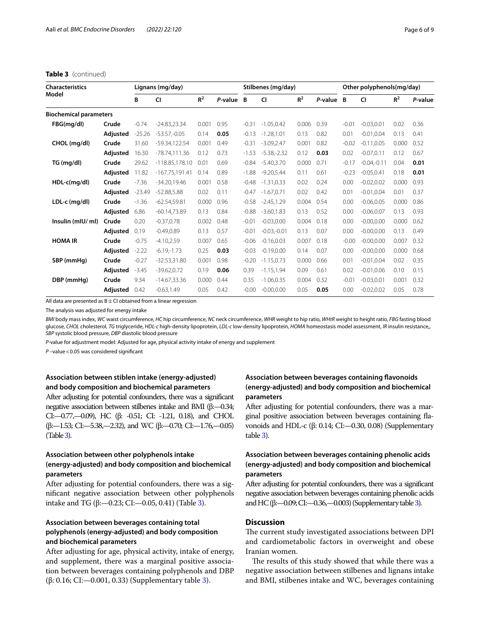### **Table 3** (continued)

| <b>Characteristics</b>        |          | Lignans (mg/day) |                   |                |         |         | Stilbenes (mg/day) |       |         |         | Other polyphenols(mg/day) |       |         |  |
|-------------------------------|----------|------------------|-------------------|----------------|---------|---------|--------------------|-------|---------|---------|---------------------------|-------|---------|--|
| Model                         |          | В                | <b>CI</b>         | R <sup>2</sup> | P-value | B       | CI                 | $R^2$ | P-value | B       | <b>CI</b>                 | $R^2$ | P-value |  |
| <b>Biochemical parameters</b> |          |                  |                   |                |         |         |                    |       |         |         |                           |       |         |  |
| FBG(mg/dl)                    | Crude    | $-0.74$          | $-24.83,23.34$    | 0.001          | 0.95    | $-0.31$ | $-1.05, 0.42$      | 0.006 | 0.39    | $-0.01$ | $-0.03, 0.01$             | 0.02  | 0.36    |  |
|                               | Adjusted | $-25.26$         | $-53.57 - 0.05$   | 0.14           | 0.05    | $-0.13$ | $-1.28.1.01$       | 0.13  | 0.82    | 0.01    | $-0.01.0.04$              | 0.13  | 0.41    |  |
| CHOL (mg/dl)                  | Crude    | 31.60            | -59.34,122.54     | 0.001          | 0.49    | $-0.31$ | $-3.09,2.47$       | 0.001 | 0.82    | $-0.02$ | $-0.11, 0.05$             | 0.000 | 0.52    |  |
|                               | Adjusted | 16.30            | -78.74,111.36     | 0.12           | 0.73    | $-1.53$ | $-5.38 - 2.32$     | 0.12  | 0.03    | 0.02    | $-0.07.0.11$              | 0.12  | 0.67    |  |
| TG (mg/dl)                    | Crude    | 29.62            | $-118.85, 178.10$ | 0.01           | 0.69    | $-0.84$ | $-5.40.3.70$       | 0.000 | 0.71    | $-0.17$ | $-0.04,-0.11$             | 0.04  | 0.01    |  |
|                               | Adjusted | 11.82            | $-167.75,191.41$  | 0.14           | 0.89    | $-1.88$ | $-9.20.5.44$       | 0.11  | 0.61    | $-0.23$ | $-0.05.0.41$              | 0.18  | 0.01    |  |
| $HDL-c(mq/dl)$                | Crude    | $-7.36$          | $-34.20,19.46$    | 0.001          | 0.58    | $-0.48$ | $-1.31, 0.33$      | 0.02  | 0.24    | 0.00    | $-0.02, 0.02$             | 0.000 | 0.93    |  |
|                               | Adjusted | $-23.49$         | $-52.88.5.88$     | 0.02           | 0.11    | $-0.47$ | $-1.67.0.71$       | 0.02  | 0.42    | 0.01    | $-0.01.0.04$              | 0.01  | 0.37    |  |
| LDL-c (mg/dl)                 | Crude    | $-1.36$          | $-62.54,59.81$    | 0.000          | 0.96    | $-0.58$ | $-2.45, 1.29$      | 0.004 | 0.54    | 0.00    | $-0.06, 0.05$             | 0.000 | 0.86    |  |
|                               | Adjusted | 6.86             | $-60.14,73.89$    | 0.13           | 0.84    | $-0.88$ | $-3.60.1.83$       | 0.13  | 0.52    | 0.00    | $-0.06.0.07$              | 0.13  | 0.93    |  |
| Insulin (mIU/ml)              | Crude    | 0.20             | $-0.37, 0.78$     | 0.002          | 0.48    | $-0.01$ | $-0.03, 0.00$      | 0.004 | 0.18    | 0.00    | $-0.00, 0.00$             | 0.000 | 0.62    |  |
|                               | Adjusted | 0.19             | $-0.49.0.89$      | 0.13           | 0.57    | $-0.01$ | $-0.03 - 0.01$     | 0.13  | 0.07    | 0.00    | $-0.00.0.00$              | 0.13  | 0.49    |  |
| <b>HOMA IR</b>                | Crude    | $-0.75$          | $-4.10,2.59$      | 0.007          | 0.65    | $-0.06$ | $-0.16.0.03$       | 0.007 | 0.18    | $-0.00$ | $-0.00.0.00$              | 0.007 | 0.32    |  |
|                               | Adjusted | $-2.22$          | $-6.19 - 1.73$    | 0.25           | 0.03    | $-0.03$ | $-0.19.0.00$       | 0.14  | 0.07    | 0.00    | $-0.00.0.00$              | 0.000 | 0.68    |  |
| SBP (mmHq)                    | Crude    | $-0.27$          | $-32.53,31.80$    | 0.001          | 0.98    | $-0.20$ | $-1.15.0.73$       | 0.000 | 0.66    | 0.01    | $-0.01.0.04$              | 0.02  | 0.35    |  |
|                               | Adjusted | $-3.45$          | $-39.62.0.72$     | 0.19           | 0.06    | 0.39    | $-1.15.1.94$       | 0.09  | 0.61    | 0.02    | $-0.01.0.06$              | 0.10  | 0.15    |  |
| DBP (mmHq)                    | Crude    | 9.34             | $-14.67,33.36$    | 0.000          | 0.44    | 0.35    | $-1.06, 0.35$      | 0.004 | 0.32    | $-0.01$ | $-0.03, 0.01$             | 0.001 | 0.32    |  |
|                               | Adjusted | 0.42             | $-0.63.1.49$      | 0.05           | 0.42    | $-0.00$ | $-0.00.0.00$       | 0.05  | 0.05    | 0.00    | $-0.02, 0.02$             | 0.05  | 0.78    |  |

All data are presented as  $B \pm C1$  obtained from a linear regression

The analysis was adjusted for energy intake

*BMI* body mass index, *WC* waist circumference, *HC* hip circumference, *NC* neck circumference, *WHR* weight to hip ratio, *WHtR* weight to height ratio, *FBG* fasting blood glucose, *CHOL* cholesterol, *TG* triglyceride, *HDL-c* high-density lipoprotein, *LDL-c* low-density lipoprotein, *HOMA* homeostasis model assessment, *IR* insulin resistance,, *SBP* systolic blood pressure, *DBP* diastolic blood pressure

*P*-value for adjustment model: Adjusted for age, physical activity intake of energy and supplement

*P* –value<0.05 was considered signifcant

### **Association between stiblen intake (energy‑adjusted) and body composition and biochemical parameters**

After adjusting for potential confounders, there was a significant negative association between stilbenes intake and BMI (β:—0.34; CI:—0.77,—0.09), HC (β: -0.51; CI: -1.21, 0.18), and CHOL (β:—1.53; CI:—5.38,—2.32), and WC (β:—0.70; CI:—1.76,—0.05) (Table [3](#page-4-0)).

### **Association between other polyphenols intake (energy‑adjusted) and body composition and biochemical parameters**

After adjusting for potential confounders, there was a signifcant negative association between other polyphenols intake and TG (β: -0.2[3](#page-4-0); CI: -0.05, 0.41) (Table 3).

### **Association between beverages containing total polyphenols (energy‑adjusted) and body composition and biochemical parameters**

After adjusting for age, physical activity, intake of energy, and supplement, there was a marginal positive association between beverages containing polyphenols and DBP (β: 0.16; CI:—0.001, 0.33) (Supplementary table [3\)](#page-7-19).

### **Association between beverages containing favonoids (energy‑adjusted) and body composition and biochemical parameters**

After adjusting for potential confounders, there was a marginal positive association between beverages containing favonoids and HDL-c (β: 0.14; CI:—0.30, 0.08) (Supplementary table [3](#page-7-19)).

### **Association between beverages containing phenolic acids (energy‑adjusted) and body composition and biochemical parameters**

After adjusting for potential confounders, there was a significant negative association between beverages containing phenolic acids and HC (β:—0.09; CI:—0.36,—0.003) (Supplementary table [3](#page-7-19)).

### **Discussion**

The current study investigated associations between DPI and cardiometabolic factors in overweight and obese Iranian women.

The results of this study showed that while there was a negative association between stilbenes and lignans intake and BMI, stilbenes intake and WC, beverages containing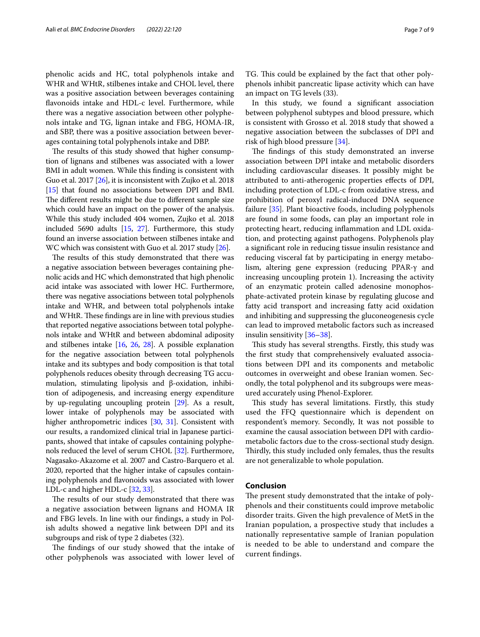phenolic acids and HC, total polyphenols intake and WHR and WHtR, stilbenes intake and CHOL level, there was a positive association between beverages containing favonoids intake and HDL-c level. Furthermore, while there was a negative association between other polyphenols intake and TG, lignan intake and FBG, HOMA-IR, and SBP, there was a positive association between beverages containing total polyphenols intake and DBP.

The results of this study showed that higher consumption of lignans and stilbenes was associated with a lower BMI in adult women. While this fnding is consistent with Guo et al. 2017 [\[26](#page-8-5)], it is inconsistent with Zujko et al. 2018 [[15](#page-7-13)] that found no associations between DPI and BMI. The different results might be due to different sample size which could have an impact on the power of the analysis. While this study included 404 women, Zujko et al. 2018 included 5690 adults [\[15](#page-7-13), [27\]](#page-8-6). Furthermore, this study found an inverse association between stilbenes intake and WC which was consistent with Guo et al. 2017 study [\[26\]](#page-8-5).

The results of this study demonstrated that there was a negative association between beverages containing phenolic acids and HC which demonstrated that high phenolic acid intake was associated with lower HC. Furthermore, there was negative associations between total polyphenols intake and WHR, and between total polyphenols intake and WHtR. These findings are in line with previous studies that reported negative associations between total polyphenols intake and WHtR and between abdominal adiposity and stilbenes intake [\[16,](#page-7-14) [26,](#page-8-5) [28](#page-8-7)]. A possible explanation for the negative association between total polyphenols intake and its subtypes and body composition is that total polyphenols reduces obesity through decreasing TG accumulation, stimulating lipolysis and β-oxidation, inhibition of adipogenesis, and increasing energy expenditure by up-regulating uncoupling protein [\[29](#page-8-8)]. As a result, lower intake of polyphenols may be associated with higher anthropometric indices [\[30,](#page-8-9) [31\]](#page-8-10). Consistent with our results, a randomized clinical trial in Japanese participants, showed that intake of capsules containing polyphenols reduced the level of serum CHOL [\[32\]](#page-8-11). Furthermore, Nagasako-Akazome et al. 2007 and Castro-Barquero et al. 2020, reported that the higher intake of capsules containing polyphenols and favonoids was associated with lower LDL-c and higher HDL-c [\[32,](#page-8-11) [33\]](#page-8-12).

The results of our study demonstrated that there was a negative association between lignans and HOMA IR and FBG levels. In line with our fndings, a study in Polish adults showed a negative link between DPI and its subgroups and risk of type 2 diabetes (32).

The findings of our study showed that the intake of other polyphenols was associated with lower level of TG. This could be explained by the fact that other polyphenols inhibit pancreatic lipase activity which can have an impact on TG levels (33).

In this study, we found a signifcant association between polyphenol subtypes and blood pressure, which is consistent with Grosso et al. 2018 study that showed a negative association between the subclasses of DPI and risk of high blood pressure [[34\]](#page-8-13).

The findings of this study demonstrated an inverse association between DPI intake and metabolic disorders including cardiovascular diseases. It possibly might be attributed to anti-atherogenic properties efects of DPI, including protection of LDL-c from oxidative stress, and prohibition of peroxyl radical-induced DNA sequence failure [\[35\]](#page-8-14). Plant bioactive foods, including polyphenols are found in some foods, can play an important role in protecting heart, reducing infammation and LDL oxidation, and protecting against pathogens. Polyphenols play a signifcant role in reducing tissue insulin resistance and reducing visceral fat by participating in energy metabolism, altering gene expression (reducing PPAR-γ and increasing uncoupling protein 1). Increasing the activity of an enzymatic protein called adenosine monophosphate-activated protein kinase by regulating glucose and fatty acid transport and increasing fatty acid oxidation and inhibiting and suppressing the gluconeogenesis cycle can lead to improved metabolic factors such as increased insulin sensitivity [\[36](#page-8-15)[–38](#page-8-16)].

This study has several strengths. Firstly, this study was the frst study that comprehensively evaluated associations between DPI and its components and metabolic outcomes in overweight and obese Iranian women. Secondly, the total polyphenol and its subgroups were measured accurately using Phenol-Explorer.

This study has several limitations. Firstly, this study used the FFQ questionnaire which is dependent on respondent's memory. Secondly, It was not possible to examine the causal association between DPI with cardiometabolic factors due to the cross-sectional study design. Thirdly, this study included only females, thus the results are not generalizable to whole population.

#### **Conclusion**

The present study demonstrated that the intake of polyphenols and their constituents could improve metabolic disorder traits. Given the high prevalence of MetS in the Iranian population, a prospective study that includes a nationally representative sample of Iranian population is needed to be able to understand and compare the current fndings.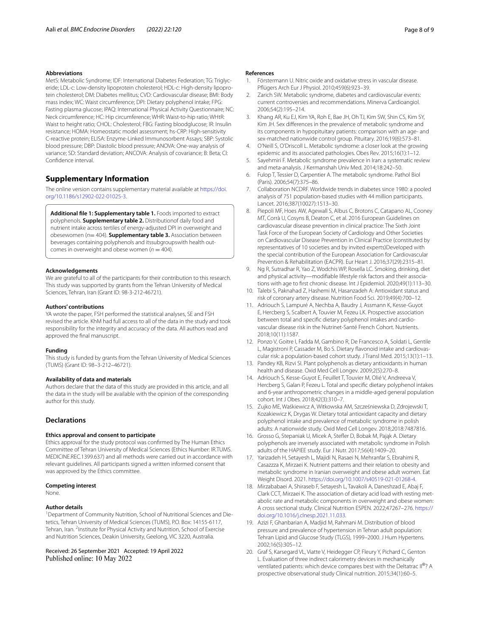#### **Abbreviations**

MetS: Metabolic Syndrome; IDF: International Diabetes Federation; TG: Triglyceride; LDL-c: Low-density lipoprotein cholesterol; HDL-c: High-density lipoprotein cholesterol; DM: Diabetes mellitus; CVD: Cardiovascular disease; BMI: Body mass index; WC: Waist circumference; DPI: Dietary polyphenol intake; FPG: Fasting plasma glucose; IPAQ: International Physical Activity Questionnaire; NC: Neck circumference; HC: Hip circumference; WHR: Waist-to-hip ratio; WHtR: Waist to height ratio; CHOL: Cholesterol; FBG: Fasting bloodglucose; IR: Insulin resistance; HOMA: Homeostatic model assessment; hs-CRP: High-sensitivity C-reactive protein; ELISA: Enzyme-Linked Immunosorbent Assays; SBP: Systolic blood pressure; DBP: Diastolic blood pressure; ANOVA: One-way analysis of variance; SD: Standard deviation; ANCOVA: Analysis of covariance; B: Beta; CI: Confdence interval.

### **Supplementary Information**

The online version contains supplementary material available at [https://doi.](https://doi.org/10.1186/s12902-022-01025-3) [org/10.1186/s12902-022-01025-3](https://doi.org/10.1186/s12902-022-01025-3).

<span id="page-7-19"></span>**Additional fle 1: Supplementary table 1.** Foods imported to extract polyphenols. **Supplementary table 2.** Distributionof daily food and nutrient intake across tertiles of energy-adjusted DPI in overweight and obesewomen (*n*= 404). **Supplementary table 3.** Association between beverages containing polyphenols and itssubgroupswith health outcomes in overweight and obese women ( $n = 404$ ).

#### **Acknowledgements**

We are grateful to all of the participants for their contribution to this research. This study was supported by grants from the Tehran University of Medical Sciences, Tehran, Iran (Grant ID: 98-3-212-46721).

#### **Authors' contributions**

YA wrote the paper, FSH performed the statistical analyses, SE and FSH revised the article. KhM had full access to all of the data in the study and took responsibility for the integrity and accuracy of the data. All authors read and approved the fnal manuscript.

### **Funding**

This study is funded by grants from the Tehran University of Medical Sciences (TUMS) (Grant ID: 98–3-212–46721).

#### **Availability of data and materials**

Authors declare that the data of this study are provided in this article, and all the data in the study will be available with the opinion of the corresponding author for this study.

#### **Declarations**

#### **Ethics approval and consent to participate**

Ethics approval for the study protocol was confrmed by The Human Ethics Committee of Tehran University of Medical Sciences (Ethics Number: IR.TUMS. MEDICINE.REC.1399.637) and all methods were carried out in accordance with relevant guidelines. All participants signed a written informed consent that was approved by the Ethics committee.

#### **Competing interest**

None.

#### **Author details**

<sup>1</sup> Department of Community Nutrition, School of Nutritional Sciences and Dietetics, Tehran University of Medical Sciences (TUMS), P.O. Box: 14155-6117, Tehran, Iran. <sup>2</sup>Institute for Physical Activity and Nutrition, School of Exercise and Nutrition Sciences, Deakin University, Geelong, VIC 3220, Australia.

## Received: 26 September 2021 Accepted: 19 April 2022

#### **References**

- <span id="page-7-0"></span>Förstermann U. Nitric oxide and oxidative stress in vascular disease. Pfügers Arch Eur J Physiol. 2010;459(6):923–39.
- <span id="page-7-1"></span>2. Zarich SW. Metabolic syndrome, diabetes and cardiovascular events: current controversies and recommendations. Minerva Cardioangiol. 2006;54(2):195–214.
- <span id="page-7-2"></span>3. Khang AR, Ku EJ, Kim YA, Roh E, Bae JH, Oh TJ, Kim SW, Shin CS, Kim SY, Kim JH. Sex diferences in the prevalence of metabolic syndrome and its components in hypopituitary patients: comparison with an age- and sex-matched nationwide control group. Pituitary. 2016;19(6):573–81.
- 4. O'Neill S, O'Driscoll L. Metabolic syndrome: a closer look at the growing epidemic and its associated pathologies. Obes Rev. 2015;16(1):1–12.
- <span id="page-7-3"></span>5. Sayehmiri F. Metabolic syndrome prevalence in Iran: a systematic review and meta-analysis. J Kermanshah Univ Med. 2014;18:242–50.
- <span id="page-7-4"></span>6. Fulop T, Tessier D, Carpentier A. The metabolic syndrome. Pathol Biol (Paris). 2006;54(7):375–86.
- <span id="page-7-5"></span>7. Collaboration NCDRF. Worldwide trends in diabetes since 1980: a pooled analysis of 751 population-based studies with 44 million participants. Lancet. 2016;387(10027):1513–30.
- <span id="page-7-6"></span>8. Piepoli MF, Hoes AW, Agewall S, Albus C, Brotons C, Catapano AL, Cooney MT, Corrà U, Cosyns B, Deaton C, et al. 2016 European Guidelines on cardiovascular disease prevention in clinical practice: The Sixth Joint Task Force of the European Society of Cardiology and Other Societies on Cardiovascular Disease Prevention in Clinical Practice (constituted by representatives of 10 societies and by invited experts)Developed with the special contribution of the European Association for Cardiovascular Prevention & Rehabilitation (EACPR). Eur Heart J. 2016;37(29):2315–81.
- <span id="page-7-7"></span>9. Ng R, Sutradhar R, Yao Z, Wodchis WP, Rosella LC. Smoking, drinking, diet and physical activity—modifable lifestyle risk factors and their associations with age to frst chronic disease. Int J Epidemiol. 2020;49(1):113–30.
- <span id="page-7-8"></span>10. Talebi S, Paknahad Z, Hashemi M, Hasanzadeh A: Antioxidant status and risk of coronary artery disease. Nutrition Food Sci. 2019;49(4):700–12.
- <span id="page-7-9"></span>11. Adriouch S, Lampuré A, Nechba A, Baudry J, Assmann K, Kesse-Guyot E, Hercberg S, Scalbert A, Touvier M, Fezeu LK. Prospective association between total and specifc dietary polyphenol intakes and cardiovascular disease risk in the Nutrinet-Santé French Cohort. Nutrients. 2018;10(11):1587.
- <span id="page-7-10"></span>12. Ponzo V, Goitre I, Fadda M, Gambino R, De Francesco A, Soldati L, Gentile L, Magistroni P, Cassader M, Bo S. Dietary favonoid intake and cardiovascular risk: a population-based cohort study. J Transl Med. 2015;13(1):1–13.
- <span id="page-7-11"></span>13. Pandey KB, Rizvi SI. Plant polyphenols as dietary antioxidants in human health and disease. Oxid Med Cell Longev. 2009;2(5):270–8.
- <span id="page-7-12"></span>14. Adriouch S, Kesse-Guyot E, Feuillet T, Touvier M, Olié V, Andreeva V, Hercberg S, Galan P, Fezeu L. Total and specifc dietary polyphenol intakes and 6-year anthropometric changes in a middle-aged general population cohort. Int J Obes. 2018;42(3):310–7.
- <span id="page-7-13"></span>15. Zujko ME, Waśkiewicz A, Witkowska AM, Szcześniewska D, Zdrojewski T, Kozakiewicz K, Drygas W. Dietary total antioxidant capacity and dietary polyphenol intake and prevalence of metabolic syndrome in polish adults: A nationwide study. Oxid Med Cell Longev. 2018;2018:7487816.
- <span id="page-7-14"></span>16. Grosso G, Stepaniak U, Micek A, Stefer D, Bobak M, Pająk A. Dietary polyphenols are inversely associated with metabolic syndrome in Polish adults of the HAPIEE study. Eur J Nutr. 2017;56(4):1409–20.
- <span id="page-7-15"></span>17. Yarizadeh H, Setayesh L, Majidi N, Rasaei N, Mehranfar S, Ebrahimi R, Casazzza K, Mirzaei K. Nutrient patterns and their relation to obesity and metabolic syndrome in Iranian overweight and obese adult women. Eat Weight Disord. 2021. <https://doi.org/10.1007/s40519-021-01268-4>.
- <span id="page-7-16"></span>18. Mirzababaei A, Shiraseb F, Setayesh L, Tavakoli A, Daneshzad E, Abaj F, Clark CCT, Mirzaei K. The association of dietary acid load with resting metabolic rate and metabolic components in overweight and obese women: A cross sectional study. Clinical Nutrition ESPEN. 2022;47267–276. [https://](https://doi.org/10.1016/j.clnesp.2021.11.033) [doi.org/10.1016/j.clnesp.2021.11.033](https://doi.org/10.1016/j.clnesp.2021.11.033).
- <span id="page-7-17"></span>19. Azizi F, Ghanbarian A, Madjid M, Rahmani M. Distribution of blood pressure and prevalence of hypertension in Tehran adult population: Tehran Lipid and Glucose Study (TLGS), 1999–2000. J Hum Hypertens. 2002;16(5):305–12.
- <span id="page-7-18"></span>20. Graf S, Karsegard VL, Viatte V, Heidegger CP, Fleury Y, Pichard C, Genton L. Evaluation of three indirect calorimetry devices in mechanically ventilated patients: which device compares best with the Deltatrac II®? A prospective observational study Clinical nutrition. 2015;34(1):60–5.